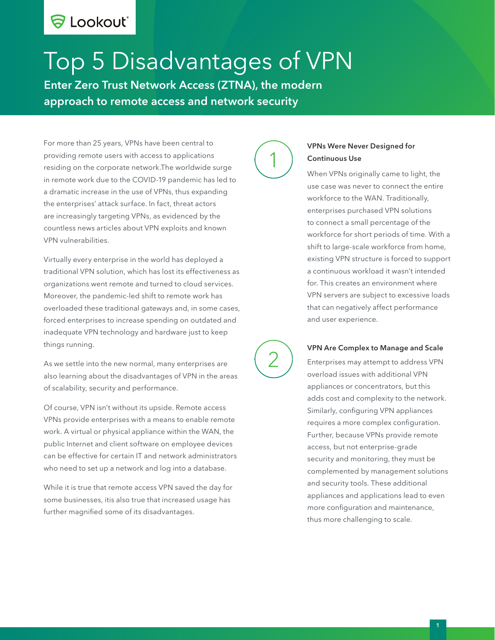# S Lookout®

# Top 5 Disadvantages of VPN

Enter Zero Trust Network Access (ZTNA), the modern approach to remote access and network security

For more than 25 years, VPNs have been central to providing remote users with access to applications residing on the corporate network.The worldwide surge in remote work due to the COVID-19 pandemic has led to a dramatic increase in the use of VPNs, thus expanding the enterprises' attack surface. In fact, threat actors are increasingly targeting VPNs, as evidenced by the countless news articles about VPN exploits and known VPN vulnerabilities.

Virtually every enterprise in the world has deployed a traditional VPN solution, which has lost its effectiveness as organizations went remote and turned to cloud services. Moreover, the pandemic-led shift to remote work has overloaded these traditional gateways and, in some cases, forced enterprises to increase spending on outdated and inadequate VPN technology and hardware just to keep things running.

As we settle into the new normal, many enterprises are also learning about the disadvantages of VPN in the areas of scalability, security and performance.

Of course, VPN isn't without its upside. Remote access VPNs provide enterprises with a means to enable remote work. A virtual or physical appliance within the WAN, the public Internet and client software on employee devices can be effective for certain IT and network administrators who need to set up a network and log into a database.

While it is true that remote access VPN saved the day for some businesses, itis also true that increased usage has further magnified some of its disadvantages.



2

#### VPNs Were Never Designed for Continuous Use

When VPNs originally came to light, the use case was never to connect the entire workforce to the WAN. Traditionally, enterprises purchased VPN solutions to connect a small percentage of the workforce for short periods of time. With a shift to large-scale workforce from home, existing VPN structure is forced to support a continuous workload it wasn't intended for. This creates an environment where VPN servers are subject to excessive loads that can negatively affect performance and user experience.

#### VPN Are Complex to Manage and Scale

Enterprises may attempt to address VPN overload issues with additional VPN appliances or concentrators, but this adds cost and complexity to the network. Similarly, configuring VPN appliances requires a more complex configuration. Further, because VPNs provide remote access, but not enterprise-grade security and monitoring, they must be complemented by management solutions and security tools. These additional appliances and applications lead to even more configuration and maintenance, thus more challenging to scale.